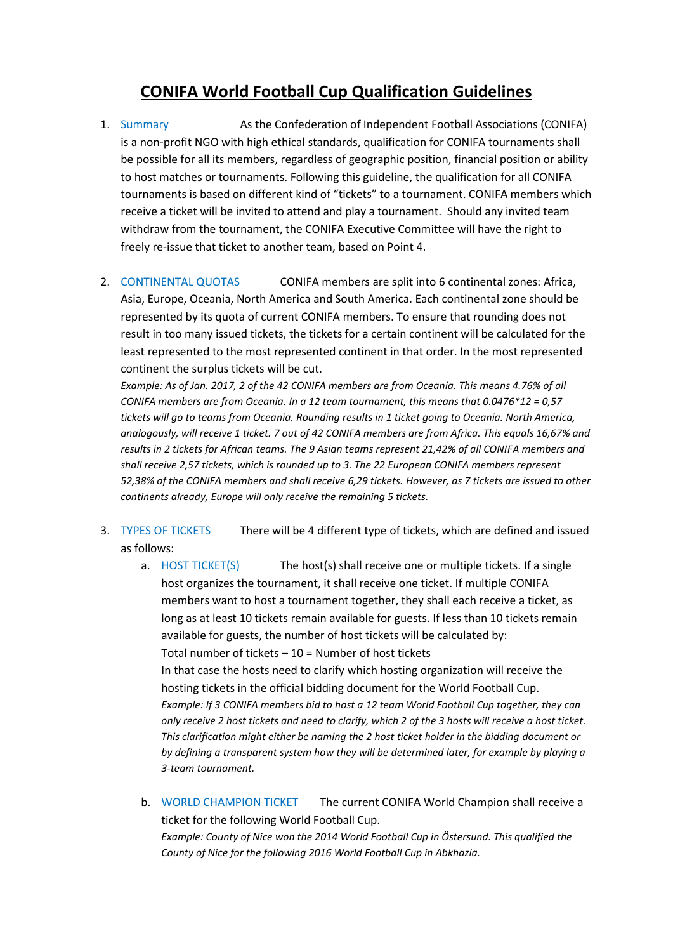## **CONIFA World Football Cup Qualification Guidelines**

1. Summary As the Confederation of Independent Football Associations (CONIFA) is a non-profit NGO with high ethical standards, qualification for CONIFA tournaments shall be possible for all its members, regardless of geographic position, financial position or ability to host matches or tournaments. Following this guideline, the qualification for all CONIFA tournaments is based on different kind of "tickets" to a tournament. CONIFA members which receive a ticket will be invited to attend and play a tournament. Should any invited team withdraw from the tournament, the CONIFA Executive Committee will have the right to freely re-issue that ticket to another team, based on Point 4.

2. CONTINENTAL QUOTAS CONIFA members are split into 6 continental zones: Africa, Asia, Europe, Oceania, North America and South America. Each continental zone should be represented by its quota of current CONIFA members. To ensure that rounding does not result in too many issued tickets, the tickets for a certain continent will be calculated for the least represented to the most represented continent in that order. In the most represented continent the surplus tickets will be cut.

*Example: As of Jan. 2017, 2 of the 42 CONIFA members are from Oceania. This means 4.76% of all CONIFA members are from Oceania. In a 12 team tournament, this means that 0.0476\*12 = 0,57 tickets will go to teams from Oceania. Rounding results in 1 ticket going to Oceania. North America, analogously, will receive 1 ticket. 7 out of 42 CONIFA members are from Africa. This equals 16,67% and results in 2 tickets for African teams. The 9 Asian teams represent 21,42% of all CONIFA members and shall receive 2,57 tickets, which is rounded up to 3. The 22 European CONIFA members represent 52,38% of the CONIFA members and shall receive 6,29 tickets. However, as 7 tickets are issued to other continents already, Europe will only receive the remaining 5 tickets.*

- 3. TYPES OF TICKETS There will be 4 different type of tickets, which are defined and issued as follows:
	- a. HOST TICKET(S) The host(s) shall receive one or multiple tickets. If a single host organizes the tournament, it shall receive one ticket. If multiple CONIFA members want to host a tournament together, they shall each receive a ticket, as long as at least 10 tickets remain available for guests. If less than 10 tickets remain available for guests, the number of host tickets will be calculated by: Total number of tickets  $-10$  = Number of host tickets In that case the hosts need to clarify which hosting organization will receive the hosting tickets in the official bidding document for the World Football Cup. *Example: If 3 CONIFA members bid to host a 12 team World Football Cup together, they can only receive 2 host tickets and need to clarify, which 2 of the 3 hosts will receive a host ticket. This clarification might either be naming the 2 host ticket holder in the bidding document or by defining a transparent system how they will be determined later, for example by playing a 3-team tournament.*
	- b. WORLD CHAMPION TICKET The current CONIFA World Champion shall receive a ticket for the following World Football Cup. *Example: County of Nice won the 2014 World Football Cup in Östersund. This qualified the County of Nice for the following 2016 World Football Cup in Abkhazia.*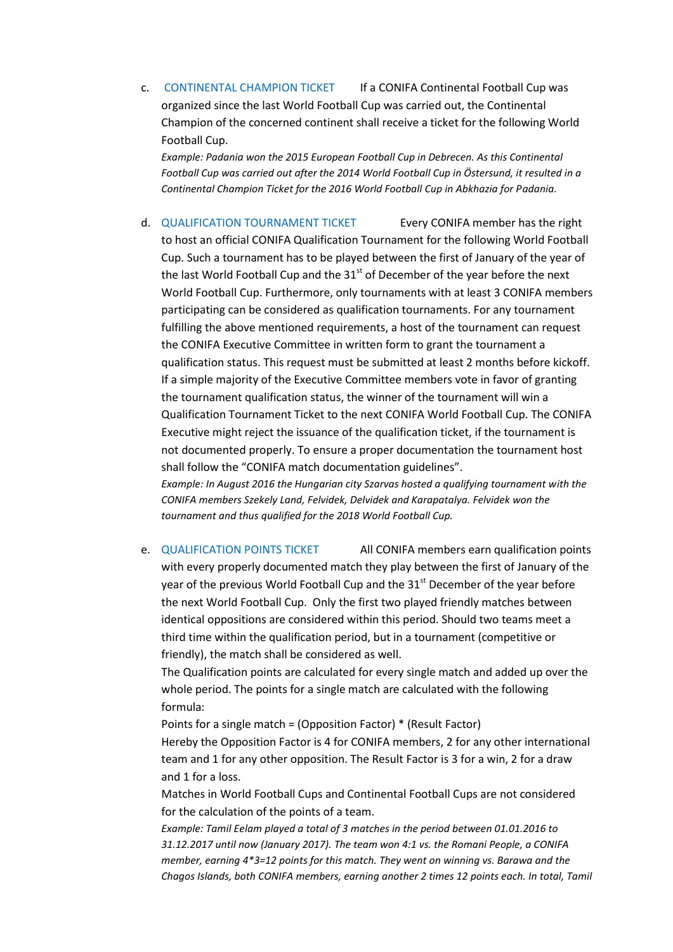c. CONTINENTAL CHAMPION TICKET If a CONIFA Continental Football Cup was organized since the last World Football Cup was carried out, the Continental Champion of the concerned continent shall receive a ticket for the following World Football Cup.

*Example: Padania won the 2015 European Football Cup in Debrecen. As this Continental Football Cup was carried out after the 2014 World Football Cup in Östersund, it resulted in a Continental Champion Ticket for the 2016 World Football Cup in Abkhazia for Padania.* 

d. QUALIFICATION TOURNAMENT TICKET Every CONIFA member has the right to host an official CONIFA Qualification Tournament for the following World Football Cup. Such a tournament has to be played between the first of January of the year of the last World Football Cup and the  $31<sup>st</sup>$  of December of the year before the next World Football Cup. Furthermore, only tournaments with at least 3 CONIFA members participating can be considered as qualification tournaments. For any tournament fulfilling the above mentioned requirements, a host of the tournament can request the CONIFA Executive Committee in written form to grant the tournament a qualification status. This request must be submitted at least 2 months before kickoff. If a simple majority of the Executive Committee members vote in favor of granting the tournament qualification status, the winner of the tournament will win a Qualification Tournament Ticket to the next CONIFA World Football Cup. The CONIFA Executive might reject the issuance of the qualification ticket, if the tournament is not documented properly. To ensure a proper documentation the tournament host shall follow the "CONIFA match documentation guidelines".

*Example: In August 2016 the Hungarian city Szarvas hosted a qualifying tournament with the CONIFA members Szekely Land, Felvidek, Delvidek and Karapatalya. Felvidek won the tournament and thus qualified for the 2018 World Football Cup.*

e. QUALIFICATION POINTS TICKET All CONIFA members earn qualification points with every properly documented match they play between the first of January of the year of the previous World Football Cup and the  $31<sup>st</sup>$  December of the year before the next World Football Cup. Only the first two played friendly matches between identical oppositions are considered within this period. Should two teams meet a third time within the qualification period, but in a tournament (competitive or friendly), the match shall be considered as well.

The Qualification points are calculated for every single match and added up over the whole period. The points for a single match are calculated with the following formula:

Points for a single match = (Opposition Factor) \* (Result Factor)

Hereby the Opposition Factor is 4 for CONIFA members, 2 for any other international team and 1 for any other opposition. The Result Factor is 3 for a win, 2 for a draw and 1 for a loss.

Matches in World Football Cups and Continental Football Cups are not considered for the calculation of the points of a team.

*Example: Tamil Eelam played a total of 3 matches in the period between 01.01.2016 to 31.12.2017 until now (January 2017). The team won 4:1 vs. the Romani People, a CONIFA member, earning 4\*3=12 points for this match. They went on winning vs. Barawa and the Chagos Islands, both CONIFA members, earning another 2 times 12 points each. In total, Tamil*